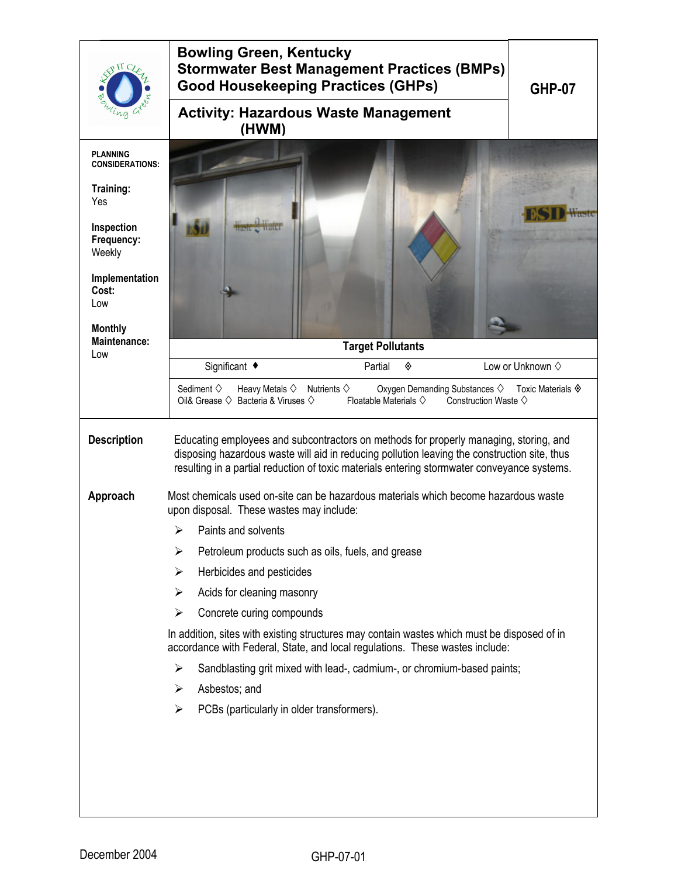|                                           | <b>Bowling Green, Kentucky</b><br><b>Stormwater Best Management Practices (BMPs)</b><br><b>Good Housekeeping Practices (GHPs)</b>                                                                                                                                                    | <b>GHP-07</b>                                                                  |
|-------------------------------------------|--------------------------------------------------------------------------------------------------------------------------------------------------------------------------------------------------------------------------------------------------------------------------------------|--------------------------------------------------------------------------------|
|                                           | <b>Activity: Hazardous Waste Management</b><br>(HWM)                                                                                                                                                                                                                                 |                                                                                |
| <b>PLANNING</b><br><b>CONSIDERATIONS:</b> |                                                                                                                                                                                                                                                                                      |                                                                                |
| Training:<br>Yes                          |                                                                                                                                                                                                                                                                                      |                                                                                |
| Inspection<br>Frequency:<br>Weekly        |                                                                                                                                                                                                                                                                                      |                                                                                |
| Implementation<br>Cost:<br>Low            |                                                                                                                                                                                                                                                                                      |                                                                                |
| <b>Monthly</b><br><b>Maintenance:</b>     | <b>Target Pollutants</b>                                                                                                                                                                                                                                                             |                                                                                |
| Low                                       | Significant ◆<br>Partial<br>◈                                                                                                                                                                                                                                                        | Low or Unknown $\diamond$                                                      |
|                                           | Sediment $\diamondsuit$<br>Heavy Metals $\diamondsuit$<br>Oxygen Demanding Substances ♦<br>Nutrients $\diamondsuit$<br>Oil& Grease $\Diamond$ Bacteria & Viruses $\Diamond$<br>Floatable Materials $\diamondsuit$                                                                    | Toxic Materials $\hat{\mathbf{\diamond}}$<br>Construction Waste $\diamondsuit$ |
| <b>Description</b>                        | Educating employees and subcontractors on methods for properly managing, storing, and<br>disposing hazardous waste will aid in reducing pollution leaving the construction site, thus<br>resulting in a partial reduction of toxic materials entering stormwater conveyance systems. |                                                                                |
| Approach                                  | Most chemicals used on-site can be hazardous materials which become hazardous waste<br>upon disposal. These wastes may include:                                                                                                                                                      |                                                                                |
|                                           | Paints and solvents<br>⋗                                                                                                                                                                                                                                                             |                                                                                |
|                                           | $\blacktriangleright$<br>Petroleum products such as oils, fuels, and grease                                                                                                                                                                                                          |                                                                                |
|                                           | Herbicides and pesticides<br>➤                                                                                                                                                                                                                                                       |                                                                                |
|                                           | Acids for cleaning masonry<br>➤                                                                                                                                                                                                                                                      |                                                                                |
|                                           | Concrete curing compounds<br>➤                                                                                                                                                                                                                                                       |                                                                                |
|                                           | In addition, sites with existing structures may contain wastes which must be disposed of in<br>accordance with Federal, State, and local regulations. These wastes include:                                                                                                          |                                                                                |
|                                           | Sandblasting grit mixed with lead-, cadmium-, or chromium-based paints;<br>➤                                                                                                                                                                                                         |                                                                                |
|                                           | Asbestos; and<br>➤                                                                                                                                                                                                                                                                   |                                                                                |
|                                           | PCBs (particularly in older transformers).<br>➤                                                                                                                                                                                                                                      |                                                                                |
|                                           |                                                                                                                                                                                                                                                                                      |                                                                                |
|                                           |                                                                                                                                                                                                                                                                                      |                                                                                |
|                                           |                                                                                                                                                                                                                                                                                      |                                                                                |
|                                           |                                                                                                                                                                                                                                                                                      |                                                                                |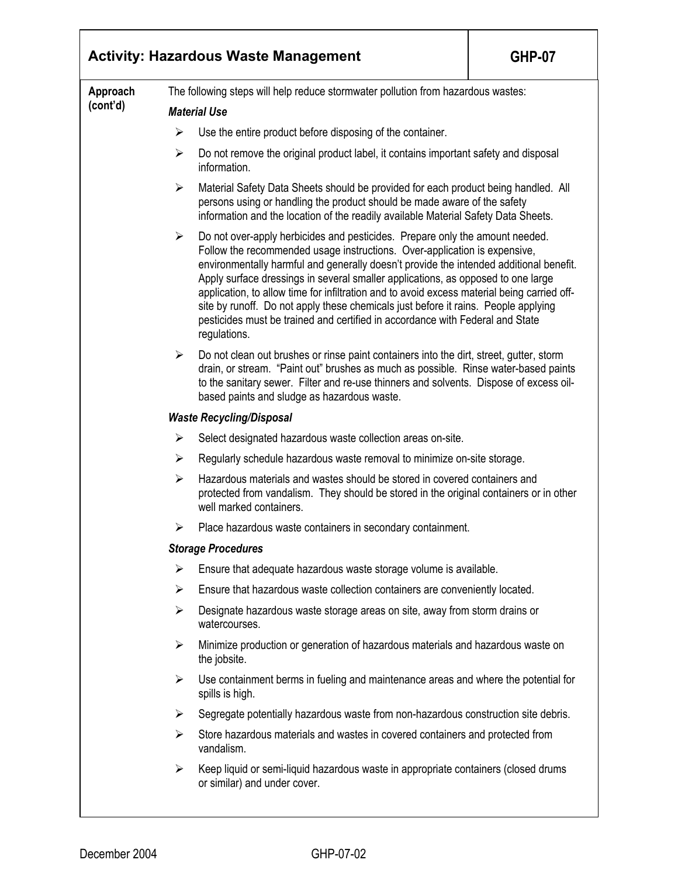|          |                                                                                  | <b>Activity: Hazardous Waste Management</b>                                                                                                                                                                                                                                                                                                                                                                                                                                                                                                                                                                                   | <b>GHP-07</b> |  |  |
|----------|----------------------------------------------------------------------------------|-------------------------------------------------------------------------------------------------------------------------------------------------------------------------------------------------------------------------------------------------------------------------------------------------------------------------------------------------------------------------------------------------------------------------------------------------------------------------------------------------------------------------------------------------------------------------------------------------------------------------------|---------------|--|--|
| Approach | The following steps will help reduce stormwater pollution from hazardous wastes: |                                                                                                                                                                                                                                                                                                                                                                                                                                                                                                                                                                                                                               |               |  |  |
| (cont'd) | <b>Material Use</b>                                                              |                                                                                                                                                                                                                                                                                                                                                                                                                                                                                                                                                                                                                               |               |  |  |
|          | ➤                                                                                | Use the entire product before disposing of the container.                                                                                                                                                                                                                                                                                                                                                                                                                                                                                                                                                                     |               |  |  |
|          | ➤                                                                                | Do not remove the original product label, it contains important safety and disposal<br>information.                                                                                                                                                                                                                                                                                                                                                                                                                                                                                                                           |               |  |  |
|          | $\blacktriangleright$                                                            | Material Safety Data Sheets should be provided for each product being handled. All<br>persons using or handling the product should be made aware of the safety<br>information and the location of the readily available Material Safety Data Sheets.                                                                                                                                                                                                                                                                                                                                                                          |               |  |  |
|          | ➤                                                                                | Do not over-apply herbicides and pesticides. Prepare only the amount needed.<br>Follow the recommended usage instructions. Over-application is expensive,<br>environmentally harmful and generally doesn't provide the intended additional benefit.<br>Apply surface dressings in several smaller applications, as opposed to one large<br>application, to allow time for infiltration and to avoid excess material being carried off-<br>site by runoff. Do not apply these chemicals just before it rains. People applying<br>pesticides must be trained and certified in accordance with Federal and State<br>regulations. |               |  |  |
|          | ➤                                                                                | Do not clean out brushes or rinse paint containers into the dirt, street, gutter, storm<br>drain, or stream. "Paint out" brushes as much as possible. Rinse water-based paints<br>to the sanitary sewer. Filter and re-use thinners and solvents. Dispose of excess oil-<br>based paints and sludge as hazardous waste.                                                                                                                                                                                                                                                                                                       |               |  |  |
|          |                                                                                  | <b>Waste Recycling/Disposal</b>                                                                                                                                                                                                                                                                                                                                                                                                                                                                                                                                                                                               |               |  |  |
|          | $\blacktriangleright$                                                            | Select designated hazardous waste collection areas on-site.                                                                                                                                                                                                                                                                                                                                                                                                                                                                                                                                                                   |               |  |  |
|          | ≻                                                                                | Regularly schedule hazardous waste removal to minimize on-site storage.                                                                                                                                                                                                                                                                                                                                                                                                                                                                                                                                                       |               |  |  |
|          | ➤                                                                                | Hazardous materials and wastes should be stored in covered containers and<br>protected from vandalism. They should be stored in the original containers or in other<br>well marked containers.                                                                                                                                                                                                                                                                                                                                                                                                                                |               |  |  |
|          | ➤                                                                                | Place hazardous waste containers in secondary containment.                                                                                                                                                                                                                                                                                                                                                                                                                                                                                                                                                                    |               |  |  |
|          |                                                                                  | <b>Storage Procedures</b>                                                                                                                                                                                                                                                                                                                                                                                                                                                                                                                                                                                                     |               |  |  |
|          | ➤                                                                                | Ensure that adequate hazardous waste storage volume is available.                                                                                                                                                                                                                                                                                                                                                                                                                                                                                                                                                             |               |  |  |
|          | ➤                                                                                | Ensure that hazardous waste collection containers are conveniently located.                                                                                                                                                                                                                                                                                                                                                                                                                                                                                                                                                   |               |  |  |
|          | ➤                                                                                | Designate hazardous waste storage areas on site, away from storm drains or<br>watercourses.                                                                                                                                                                                                                                                                                                                                                                                                                                                                                                                                   |               |  |  |
|          | $\blacktriangleright$                                                            | Minimize production or generation of hazardous materials and hazardous waste on<br>the jobsite.                                                                                                                                                                                                                                                                                                                                                                                                                                                                                                                               |               |  |  |
|          | ➤                                                                                | Use containment berms in fueling and maintenance areas and where the potential for<br>spills is high.                                                                                                                                                                                                                                                                                                                                                                                                                                                                                                                         |               |  |  |
|          | ➤                                                                                | Segregate potentially hazardous waste from non-hazardous construction site debris.                                                                                                                                                                                                                                                                                                                                                                                                                                                                                                                                            |               |  |  |
|          | ≻                                                                                | Store hazardous materials and wastes in covered containers and protected from<br>vandalism.                                                                                                                                                                                                                                                                                                                                                                                                                                                                                                                                   |               |  |  |
|          | ≻                                                                                | Keep liquid or semi-liquid hazardous waste in appropriate containers (closed drums<br>or similar) and under cover.                                                                                                                                                                                                                                                                                                                                                                                                                                                                                                            |               |  |  |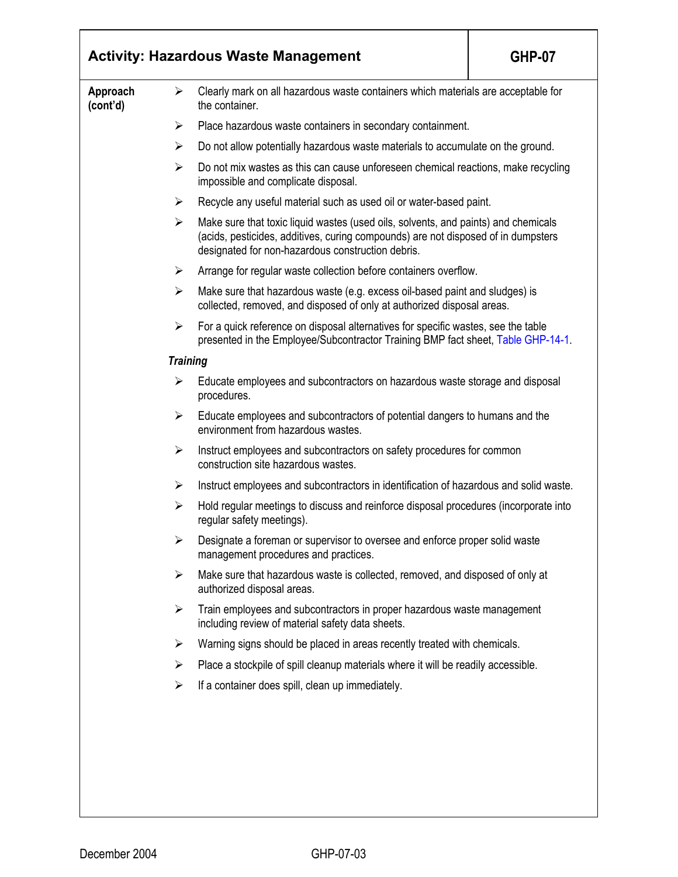|                      |                       | <b>Activity: Hazardous Waste Management</b>                                                                                                                                                                                  | <b>GHP-07</b> |  |
|----------------------|-----------------------|------------------------------------------------------------------------------------------------------------------------------------------------------------------------------------------------------------------------------|---------------|--|
| Approach<br>(cont'd) | ➤                     | Clearly mark on all hazardous waste containers which materials are acceptable for<br>the container.                                                                                                                          |               |  |
|                      | $\blacktriangleright$ | Place hazardous waste containers in secondary containment.                                                                                                                                                                   |               |  |
|                      | $\blacktriangleright$ | Do not allow potentially hazardous waste materials to accumulate on the ground.                                                                                                                                              |               |  |
|                      | ➤                     | Do not mix wastes as this can cause unforeseen chemical reactions, make recycling<br>impossible and complicate disposal.                                                                                                     |               |  |
|                      | ➤                     | Recycle any useful material such as used oil or water-based paint.                                                                                                                                                           |               |  |
|                      | ➤                     | Make sure that toxic liquid wastes (used oils, solvents, and paints) and chemicals<br>(acids, pesticides, additives, curing compounds) are not disposed of in dumpsters<br>designated for non-hazardous construction debris. |               |  |
|                      | $\blacktriangleright$ | Arrange for regular waste collection before containers overflow.                                                                                                                                                             |               |  |
|                      | $\blacktriangleright$ | Make sure that hazardous waste (e.g. excess oil-based paint and sludges) is<br>collected, removed, and disposed of only at authorized disposal areas.                                                                        |               |  |
|                      | $\blacktriangleright$ | For a quick reference on disposal alternatives for specific wastes, see the table<br>presented in the Employee/Subcontractor Training BMP fact sheet, Table GHP-14-1.                                                        |               |  |
|                      | <b>Training</b>       |                                                                                                                                                                                                                              |               |  |
|                      | ➤                     | Educate employees and subcontractors on hazardous waste storage and disposal<br>procedures.                                                                                                                                  |               |  |
|                      | ➤                     | Educate employees and subcontractors of potential dangers to humans and the<br>environment from hazardous wastes.                                                                                                            |               |  |
|                      | $\blacktriangleright$ | Instruct employees and subcontractors on safety procedures for common<br>construction site hazardous wastes.                                                                                                                 |               |  |
|                      | ➤                     | Instruct employees and subcontractors in identification of hazardous and solid waste.                                                                                                                                        |               |  |
|                      | ➤                     | Hold regular meetings to discuss and reinforce disposal procedures (incorporate into<br>regular safety meetings).                                                                                                            |               |  |
|                      | ➤                     | Designate a foreman or supervisor to oversee and enforce proper solid waste<br>management procedures and practices.                                                                                                          |               |  |
|                      | ≻                     | Make sure that hazardous waste is collected, removed, and disposed of only at<br>authorized disposal areas.                                                                                                                  |               |  |
|                      | $\blacktriangleright$ | Train employees and subcontractors in proper hazardous waste management<br>including review of material safety data sheets.                                                                                                  |               |  |
|                      | ➤                     | Warning signs should be placed in areas recently treated with chemicals.                                                                                                                                                     |               |  |
|                      | ➤                     | Place a stockpile of spill cleanup materials where it will be readily accessible.                                                                                                                                            |               |  |
|                      | ➤                     | If a container does spill, clean up immediately.                                                                                                                                                                             |               |  |
|                      |                       |                                                                                                                                                                                                                              |               |  |
|                      |                       |                                                                                                                                                                                                                              |               |  |
|                      |                       |                                                                                                                                                                                                                              |               |  |
|                      |                       |                                                                                                                                                                                                                              |               |  |